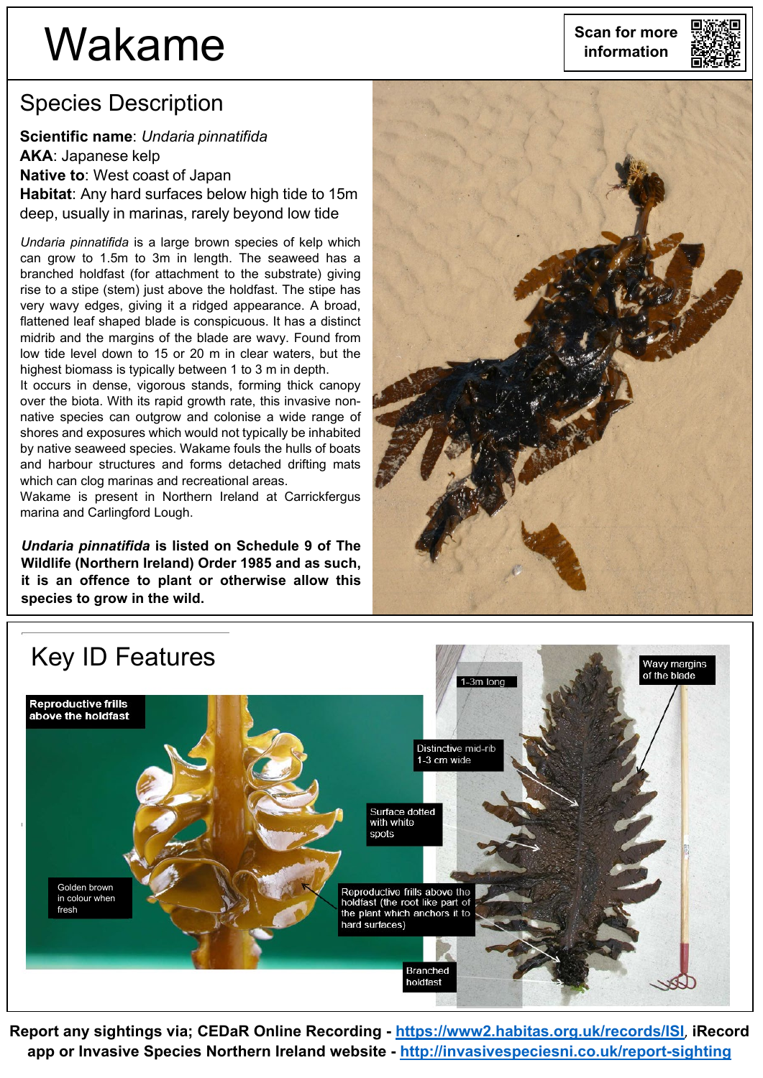## **Wakame** scan for more

## Species Description

**Scientific name**: *Undaria pinnatifida* **AKA**: Japanese kelp **Native to**: West coast of Japan **Habitat**: Any hard surfaces below high tide to 15m deep, usually in marinas, rarely beyond low tide

*Undaria pinnatifida* is a large brown species of kelp which can grow to 1.5m to 3m in length. The seaweed has a branched holdfast (for attachment to the substrate) giving rise to a stipe (stem) just above the holdfast. The stipe has very wavy edges, giving it a ridged appearance. A broad, flattened leaf shaped blade is conspicuous. It has a distinct midrib and the margins of the blade are wavy. Found from low tide level down to 15 or 20 m in clear waters, but the highest biomass is typically between 1 to 3 m in depth.

It occurs in dense, vigorous stands, forming thick canopy over the biota. With its rapid growth rate, this invasive nonnative species can outgrow and colonise a wide range of shores and exposures which would not typically be inhabited by native seaweed species. Wakame fouls the hulls of boats and harbour structures and forms detached drifting mats which can clog marinas and recreational areas.

Wakame is present in Northern Ireland at Carrickfergus marina and Carlingford Lough.

*Undaria pinnatifida* **is listed on Schedule 9 of The Wildlife (Northern Ireland) Order 1985 and as such, it is an offence to plant or otherwise allow this species to grow in the wild.**





**Report any sightings via; CEDaR Online Recording - <https://www2.habitas.org.uk/records/ISI>**, **iRecord app or Invasive Species Northern Ireland website - <http://invasivespeciesni.co.uk/report-sighting>**